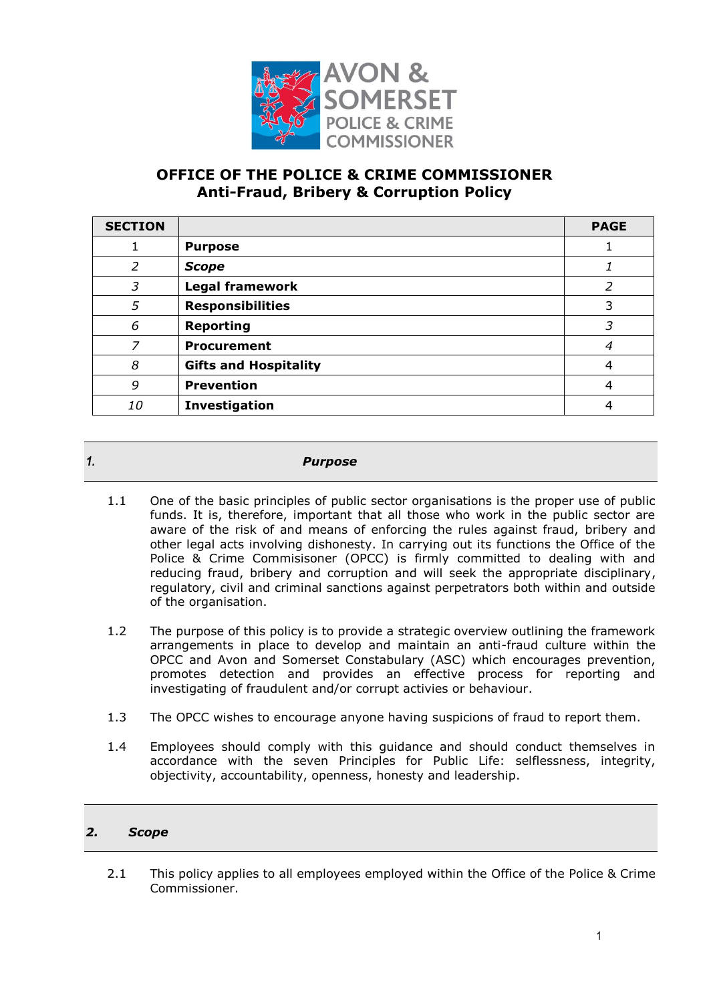

# **OFFICE OF THE POLICE & CRIME COMMISSIONER Anti-Fraud, Bribery & Corruption Policy**

| <b>SECTION</b> |                              | <b>PAGE</b> |
|----------------|------------------------------|-------------|
|                | <b>Purpose</b>               |             |
| 2              | <b>Scope</b>                 |             |
| 3              | <b>Legal framework</b>       | 2           |
| 5              | <b>Responsibilities</b>      | 3           |
| 6              | <b>Reporting</b>             | 3           |
| 7              | <b>Procurement</b>           | 4           |
| 8              | <b>Gifts and Hospitality</b> | 4           |
| 9              | <b>Prevention</b>            | 4           |
| <i>10</i>      | Investigation                | 4           |

# *1. Purpose*

- 1.1 One of the basic principles of public sector organisations is the proper use of public funds. It is, therefore, important that all those who work in the public sector are aware of the risk of and means of enforcing the rules against fraud, bribery and other legal acts involving dishonesty. In carrying out its functions the Office of the Police & Crime Commisisoner (OPCC) is firmly committed to dealing with and reducing fraud, bribery and corruption and will seek the appropriate disciplinary, regulatory, civil and criminal sanctions against perpetrators both within and outside of the organisation.
- 1.2 The purpose of this policy is to provide a strategic overview outlining the framework arrangements in place to develop and maintain an anti-fraud culture within the OPCC and Avon and Somerset Constabulary (ASC) which encourages prevention, promotes detection and provides an effective process for reporting and investigating of fraudulent and/or corrupt activies or behaviour.
- 1.3 The OPCC wishes to encourage anyone having suspicions of fraud to report them.
- 1.4 Employees should comply with this guidance and should conduct themselves in accordance with the seven Principles for Public Life: selflessness, integrity, objectivity, accountability, openness, honesty and leadership.

# *2. Scope*

2.1 This policy applies to all employees employed within the Office of the Police & Crime Commissioner.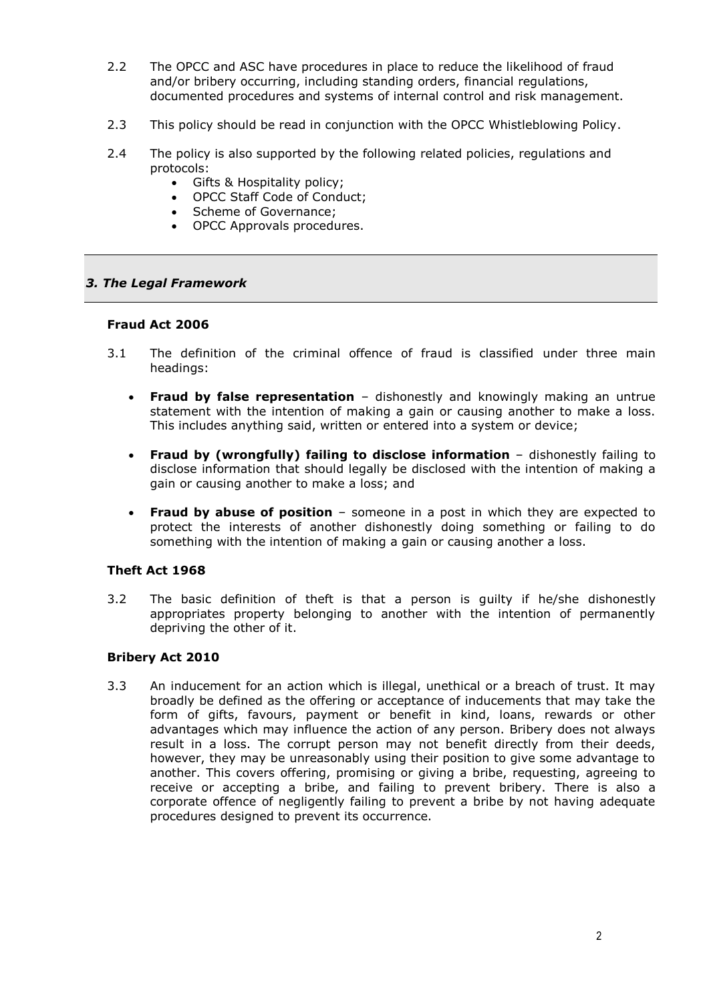- 2.2 The OPCC and ASC have procedures in place to reduce the likelihood of fraud and/or bribery occurring, including standing orders, financial regulations, documented procedures and systems of internal control and risk management.
- 2.3 This policy should be read in conjunction with the OPCC Whistleblowing Policy.
- 2.4 The policy is also supported by the following related policies, regulations and protocols:
	- Gifts & Hospitality policy;
	- OPCC Staff Code of Conduct:
	- Scheme of Governance;
	- OPCC Approvals procedures.

#### *3. The Legal Framework*

#### **Fraud Act 2006**

- 3.1 The definition of the criminal offence of fraud is classified under three main headings:
	- **Fraud by false representation** dishonestly and knowingly making an untrue statement with the intention of making a gain or causing another to make a loss. This includes anything said, written or entered into a system or device;
	- **Fraud by (wrongfully) failing to disclose information** dishonestly failing to disclose information that should legally be disclosed with the intention of making a gain or causing another to make a loss; and
	- **Fraud by abuse of position** someone in a post in which they are expected to protect the interests of another dishonestly doing something or failing to do something with the intention of making a gain or causing another a loss.

#### **Theft Act 1968**

3.2 The basic definition of theft is that a person is guilty if he/she dishonestly appropriates property belonging to another with the intention of permanently depriving the other of it.

#### **Bribery Act 2010**

3.3 An inducement for an action which is illegal, unethical or a breach of trust. It may broadly be defined as the offering or acceptance of inducements that may take the form of gifts, favours, payment or benefit in kind, loans, rewards or other advantages which may influence the action of any person. Bribery does not always result in a loss. The corrupt person may not benefit directly from their deeds, however, they may be unreasonably using their position to give some advantage to another. This covers offering, promising or giving a bribe, requesting, agreeing to receive or accepting a bribe, and failing to prevent bribery. There is also a corporate offence of negligently failing to prevent a bribe by not having adequate procedures designed to prevent its occurrence.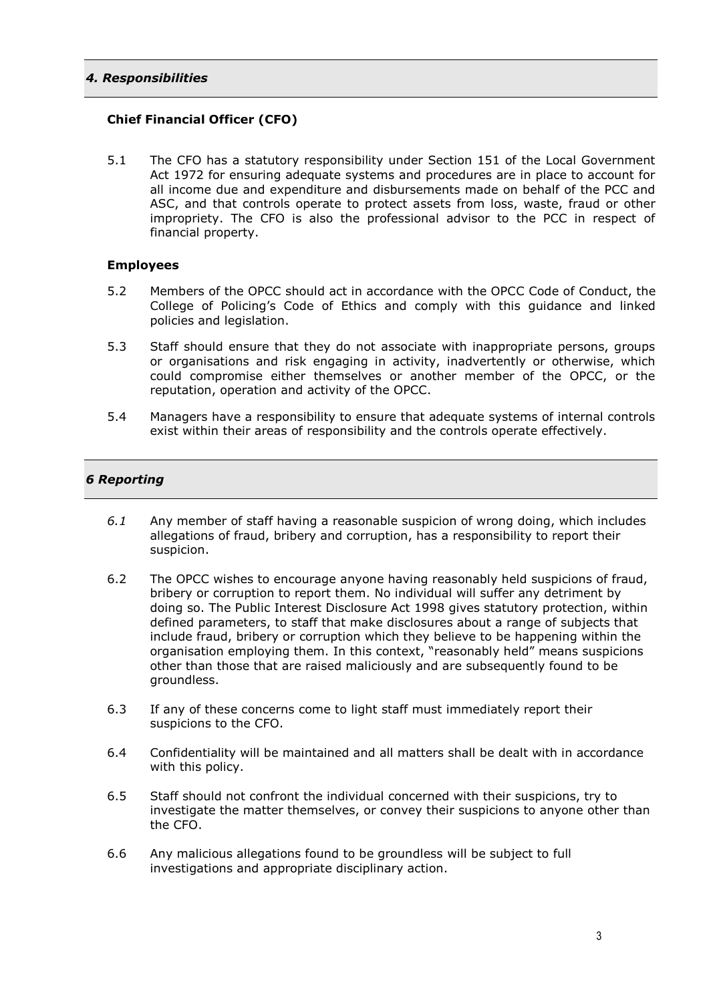#### *4. Responsibilities*

### **Chief Financial Officer (CFO)**

5.1 The CFO has a statutory responsibility under Section 151 of the Local Government Act 1972 for ensuring adequate systems and procedures are in place to account for all income due and expenditure and disbursements made on behalf of the PCC and ASC, and that controls operate to protect assets from loss, waste, fraud or other impropriety. The CFO is also the professional advisor to the PCC in respect of financial property.

#### **Employees**

- 5.2 Members of the OPCC should act in accordance with the OPCC Code of Conduct, the College of Policing's Code of Ethics and comply with this guidance and linked policies and legislation.
- 5.3 Staff should ensure that they do not associate with inappropriate persons, groups or organisations and risk engaging in activity, inadvertently or otherwise, which could compromise either themselves or another member of the OPCC, or the reputation, operation and activity of the OPCC.
- 5.4 Managers have a responsibility to ensure that adequate systems of internal controls exist within their areas of responsibility and the controls operate effectively.

# *6 Reporting*

- *6.1* Any member of staff having a reasonable suspicion of wrong doing, which includes allegations of fraud, bribery and corruption, has a responsibility to report their suspicion.
- 6.2 The OPCC wishes to encourage anyone having reasonably held suspicions of fraud, bribery or corruption to report them. No individual will suffer any detriment by doing so. The Public Interest Disclosure Act 1998 gives statutory protection, within defined parameters, to staff that make disclosures about a range of subjects that include fraud, bribery or corruption which they believe to be happening within the organisation employing them. In this context, "reasonably held" means suspicions other than those that are raised maliciously and are subsequently found to be groundless.
- 6.3 If any of these concerns come to light staff must immediately report their suspicions to the CFO.
- 6.4 Confidentiality will be maintained and all matters shall be dealt with in accordance with this policy.
- 6.5 Staff should not confront the individual concerned with their suspicions, try to investigate the matter themselves, or convey their suspicions to anyone other than the CFO.
- 6.6 Any malicious allegations found to be groundless will be subject to full investigations and appropriate disciplinary action.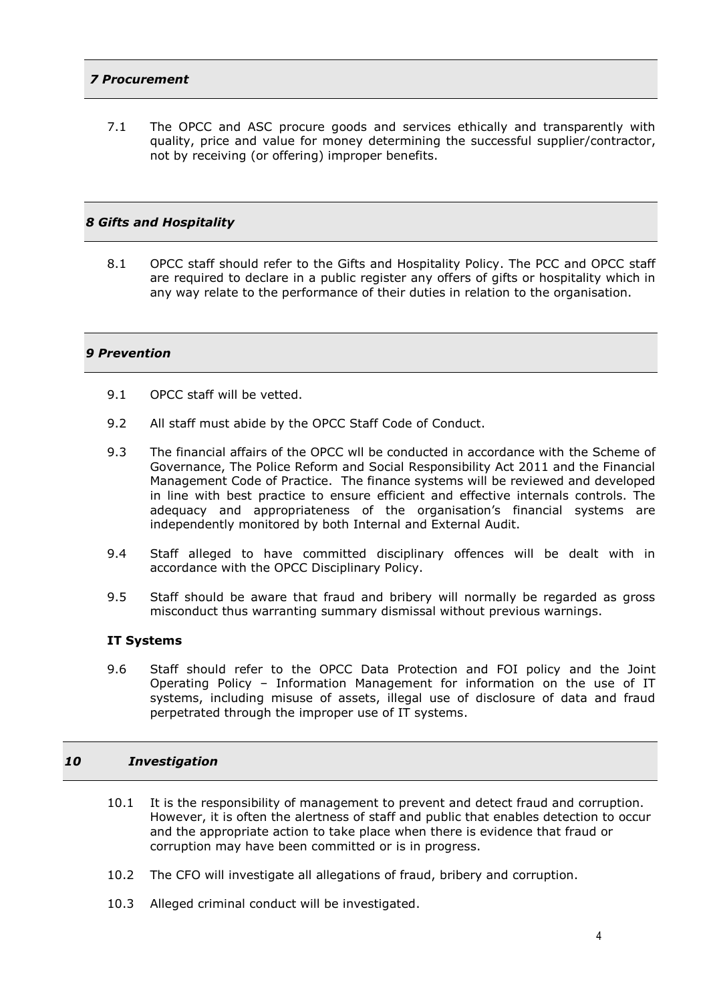# *7 Procurement*

7.1 The OPCC and ASC procure goods and services ethically and transparently with quality, price and value for money determining the successful supplier/contractor, not by receiving (or offering) improper benefits.

#### *8 Gifts and Hospitality*

8.1 OPCC staff should refer to the Gifts and Hospitality Policy. The PCC and OPCC staff are required to declare in a public register any offers of gifts or hospitality which in any way relate to the performance of their duties in relation to the organisation.

# *9 Prevention*

- 9.1 OPCC staff will be vetted.
- 9.2 All staff must abide by the OPCC Staff Code of Conduct.
- 9.3 The financial affairs of the OPCC wll be conducted in accordance with the Scheme of Governance, The Police Reform and Social Responsibility Act 2011 and the Financial Management Code of Practice. The finance systems will be reviewed and developed in line with best practice to ensure efficient and effective internals controls. The adequacy and appropriateness of the organisation's financial systems are independently monitored by both Internal and External Audit.
- 9.4 Staff alleged to have committed disciplinary offences will be dealt with in accordance with the OPCC Disciplinary Policy.
- 9.5 Staff should be aware that fraud and bribery will normally be regarded as gross misconduct thus warranting summary dismissal without previous warnings.

#### **IT Systems**

9.6 Staff should refer to the OPCC Data Protection and FOI policy and the Joint Operating Policy – Information Management for information on the use of IT systems, including misuse of assets, illegal use of disclosure of data and fraud perpetrated through the improper use of IT systems.

#### *10 Investigation*

- 10.1 It is the responsibility of management to prevent and detect fraud and corruption. However, it is often the alertness of staff and public that enables detection to occur and the appropriate action to take place when there is evidence that fraud or corruption may have been committed or is in progress.
- 10.2 The CFO will investigate all allegations of fraud, bribery and corruption.
- 10.3 Alleged criminal conduct will be investigated.